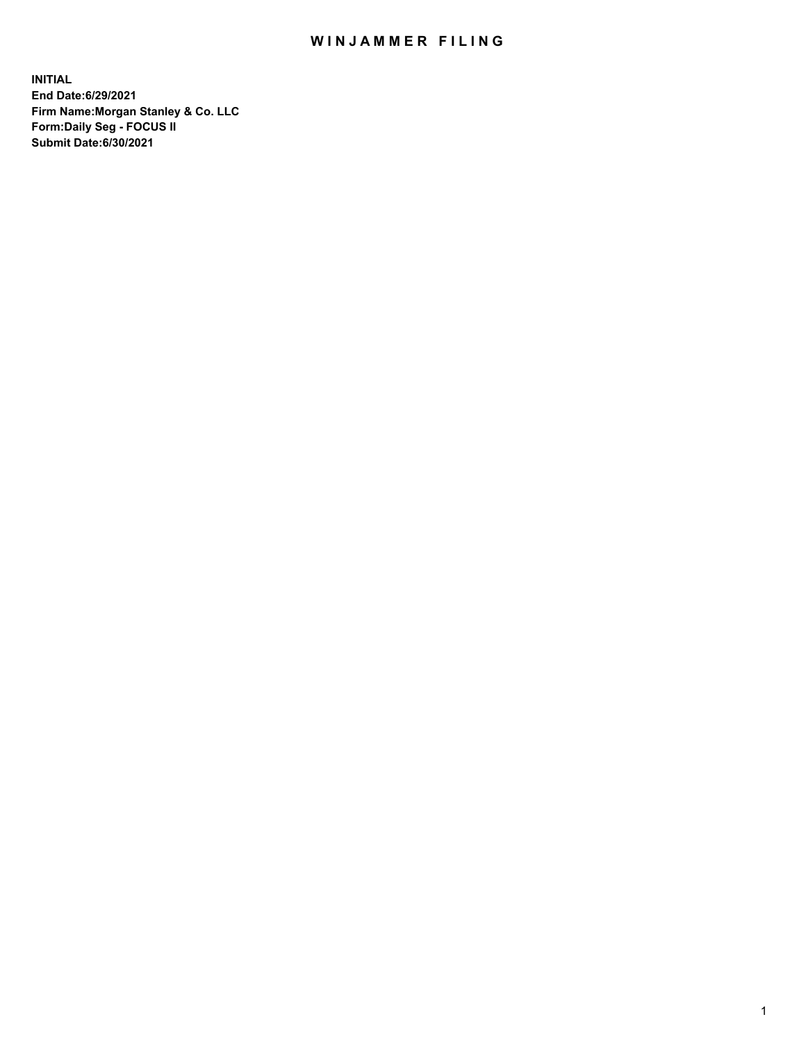## WIN JAMMER FILING

**INITIAL End Date:6/29/2021 Firm Name:Morgan Stanley & Co. LLC Form:Daily Seg - FOCUS II Submit Date:6/30/2021**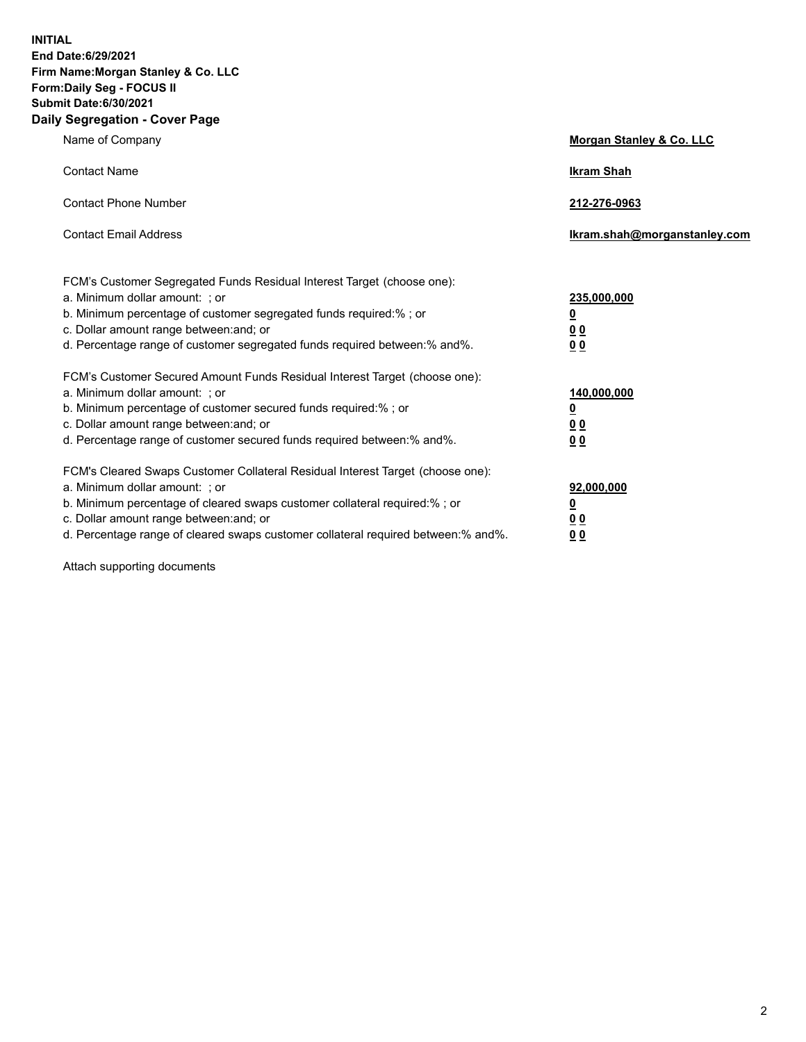**INITIAL End Date:6/29/2021 Firm Name:Morgan Stanley & Co. LLC Form:Daily Seg - FOCUS II Submit Date:6/30/2021 Daily Segregation - Cover Page**

| Name of Company                                                                                                                                                                                                                                                                                                                | <b>Morgan Stanley &amp; Co. LLC</b>                    |
|--------------------------------------------------------------------------------------------------------------------------------------------------------------------------------------------------------------------------------------------------------------------------------------------------------------------------------|--------------------------------------------------------|
| <b>Contact Name</b>                                                                                                                                                                                                                                                                                                            | <b>Ikram Shah</b>                                      |
| <b>Contact Phone Number</b>                                                                                                                                                                                                                                                                                                    | 212-276-0963                                           |
| <b>Contact Email Address</b>                                                                                                                                                                                                                                                                                                   | Ikram.shah@morganstanley.com                           |
| FCM's Customer Segregated Funds Residual Interest Target (choose one):<br>a. Minimum dollar amount: : or<br>b. Minimum percentage of customer segregated funds required:%; or<br>c. Dollar amount range between: and; or<br>d. Percentage range of customer segregated funds required between:% and%.                          | 235,000,000<br><u>0</u><br><u>00</u><br><u>00</u>      |
| FCM's Customer Secured Amount Funds Residual Interest Target (choose one):<br>a. Minimum dollar amount: ; or<br>b. Minimum percentage of customer secured funds required:%; or<br>c. Dollar amount range between: and; or<br>d. Percentage range of customer secured funds required between:% and%.                            | 140,000,000<br><u>0</u><br><u>00</u><br>0 <sub>0</sub> |
| FCM's Cleared Swaps Customer Collateral Residual Interest Target (choose one):<br>a. Minimum dollar amount: ; or<br>b. Minimum percentage of cleared swaps customer collateral required:% ; or<br>c. Dollar amount range between: and; or<br>d. Percentage range of cleared swaps customer collateral required between:% and%. | 92,000,000<br><u>0</u><br><u>00</u><br>00              |

Attach supporting documents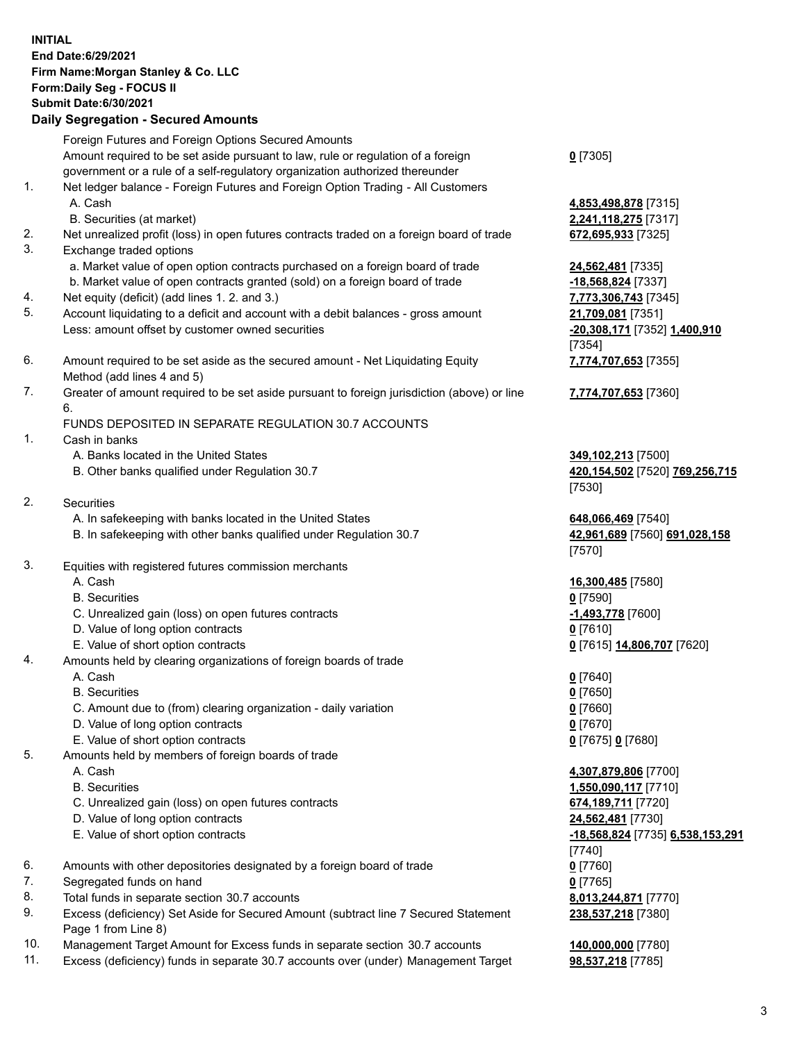## **INITIAL End Date:6/29/2021 Firm Name:Morgan Stanley & Co. LLC Form:Daily Seg - FOCUS II Submit Date:6/30/2021**

**Daily Segregation - Secured Amounts** Foreign Futures and Foreign Options Secured Amounts Amount required to be set aside pursuant to law, rule or regulation of a foreign government or a rule of a self-regulatory organization authorized thereunder 1. Net ledger balance - Foreign Futures and Foreign Option Trading - All Customers A. Cash **4,853,498,878** [7315] B. Securities (at market) **2,241,118,275** [7317] 2. Net unrealized profit (loss) in open futures contracts traded on a foreign board of trade **672,695,933** [7325] 3. Exchange traded options a. Market value of open option contracts purchased on a foreign board of trade **24,562,481** [7335] b. Market value of open contracts granted (sold) on a foreign board of trade **-18,568,824** [7337] 4. Net equity (deficit) (add lines 1. 2. and 3.) **7,773,306,743** [7345] 5. Account liquidating to a deficit and account with a debit balances - gross amount **21,709,081** [7351] Less: amount offset by customer owned securities **-20,308,171** [7352] **1,400,910** 6. Amount required to be set aside as the secured amount - Net Liquidating Equity Method (add lines 4 and 5) 7. Greater of amount required to be set aside pursuant to foreign jurisdiction (above) or line 6. FUNDS DEPOSITED IN SEPARATE REGULATION 30.7 ACCOUNTS 1. Cash in banks A. Banks located in the United States **349,102,213** [7500] B. Other banks qualified under Regulation 30.7 **420,154,502** [7520] **769,256,715** 2. Securities A. In safekeeping with banks located in the United States **648,066,469** [7540] B. In safekeeping with other banks qualified under Regulation 30.7 **42,961,689** [7560] **691,028,158** 3. Equities with registered futures commission merchants A. Cash **16,300,485** [7580] B. Securities **0** [7590] C. Unrealized gain (loss) on open futures contracts **-1,493,778** [7600] D. Value of long option contracts **0** [7610] E. Value of short option contracts **0** [7615] **14,806,707** [7620]

- 4. Amounts held by clearing organizations of foreign boards of trade
	- A. Cash **0** [7640]
	- B. Securities **0** [7650]
	- C. Amount due to (from) clearing organization daily variation **0** [7660]
	- D. Value of long option contracts **0** [7670]
	- E. Value of short option contracts **0** [7675] **0** [7680]
- 5. Amounts held by members of foreign boards of trade
	-
	-
	- C. Unrealized gain (loss) on open futures contracts **674,189,711** [7720]
	- D. Value of long option contracts **24,562,481** [7730]
	- E. Value of short option contracts **-18,568,824** [7735] **6,538,153,291**
- 6. Amounts with other depositories designated by a foreign board of trade **0** [7760]
- 7. Segregated funds on hand **0** [7765]
- 8. Total funds in separate section 30.7 accounts **8,013,244,871** [7770]
- 9. Excess (deficiency) Set Aside for Secured Amount (subtract line 7 Secured Statement Page 1 from Line 8)
- 10. Management Target Amount for Excess funds in separate section 30.7 accounts **140,000,000** [7780]
- 11. Excess (deficiency) funds in separate 30.7 accounts over (under) Management Target **98,537,218** [7785]

**0** [7305]

[7354] **7,774,707,653** [7355]

**7,774,707,653** [7360]

[7530]

[7570]

 A. Cash **4,307,879,806** [7700] B. Securities **1,550,090,117** [7710] [7740] **238,537,218** [7380]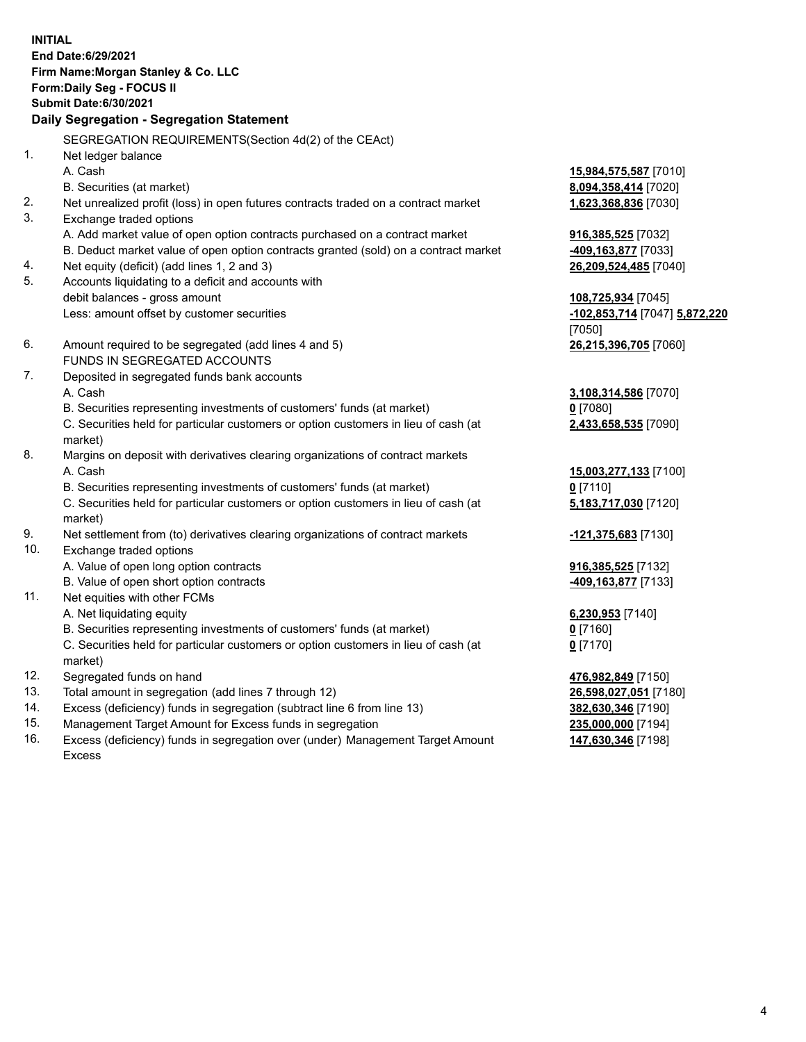**INITIAL End Date:6/29/2021 Firm Name:Morgan Stanley & Co. LLC Form:Daily Seg - FOCUS II Submit Date:6/30/2021 Daily Segregation - Segregation Statement** SEGREGATION REQUIREMENTS(Section 4d(2) of the CEAct) 1. Net ledger balance A. Cash **15,984,575,587** [7010] B. Securities (at market) **8,094,358,414** [7020] 2. Net unrealized profit (loss) in open futures contracts traded on a contract market **1,623,368,836** [7030] 3. Exchange traded options A. Add market value of open option contracts purchased on a contract market **916,385,525** [7032] B. Deduct market value of open option contracts granted (sold) on a contract market **-409,163,877** [7033] 4. Net equity (deficit) (add lines 1, 2 and 3) **26,209,524,485** [7040] 5. Accounts liquidating to a deficit and accounts with debit balances - gross amount **108,725,934** [7045] Less: amount offset by customer securities **-102,853,714** [7047] **5,872,220** [7050] 6. Amount required to be segregated (add lines 4 and 5) **26,215,396,705** [7060] FUNDS IN SEGREGATED ACCOUNTS 7. Deposited in segregated funds bank accounts A. Cash **3,108,314,586** [7070] B. Securities representing investments of customers' funds (at market) **0** [7080] C. Securities held for particular customers or option customers in lieu of cash (at market) **2,433,658,535** [7090] 8. Margins on deposit with derivatives clearing organizations of contract markets A. Cash **15,003,277,133** [7100] B. Securities representing investments of customers' funds (at market) **0** [7110] C. Securities held for particular customers or option customers in lieu of cash (at market) **5,183,717,030** [7120] 9. Net settlement from (to) derivatives clearing organizations of contract markets **-121,375,683** [7130] 10. Exchange traded options A. Value of open long option contracts **916,385,525** [7132] B. Value of open short option contracts **and the set of our original contracts -409,163,877** [7133] 11. Net equities with other FCMs A. Net liquidating equity **6,230,953** [7140] B. Securities representing investments of customers' funds (at market) **0** [7160] C. Securities held for particular customers or option customers in lieu of cash (at market) **0** [7170] 12. Segregated funds on hand **476,982,849** [7150] 13. Total amount in segregation (add lines 7 through 12) **26,598,027,051** [7180] 14. Excess (deficiency) funds in segregation (subtract line 6 from line 13) **382,630,346** [7190] 15. Management Target Amount for Excess funds in segregation **235,000,000** [7194]

16. Excess (deficiency) funds in segregation over (under) Management Target Amount Excess

**147,630,346** [7198]